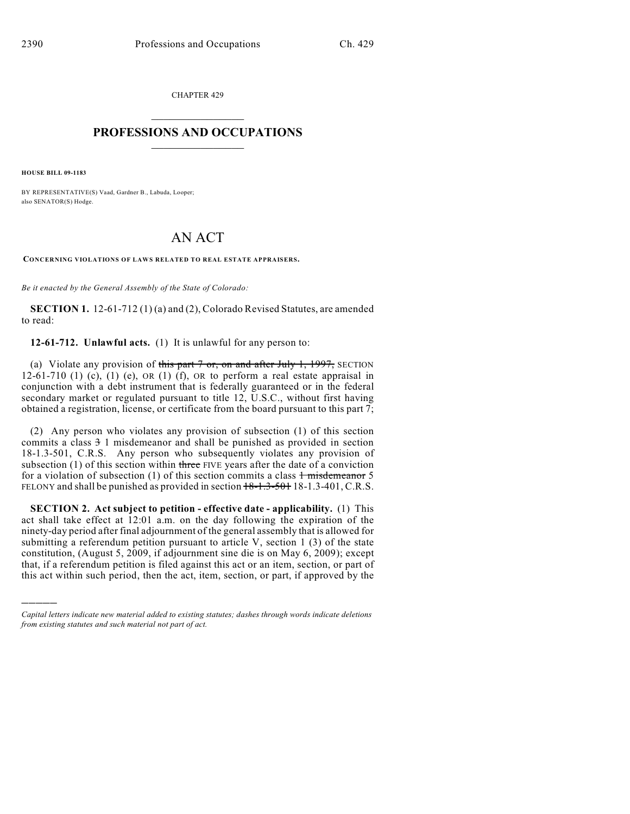CHAPTER 429  $\overline{\phantom{a}}$  . The set of the set of the set of the set of the set of the set of the set of the set of the set of the set of the set of the set of the set of the set of the set of the set of the set of the set of the set o

## **PROFESSIONS AND OCCUPATIONS**  $\frac{1}{2}$  ,  $\frac{1}{2}$  ,  $\frac{1}{2}$  ,  $\frac{1}{2}$  ,  $\frac{1}{2}$  ,  $\frac{1}{2}$

**HOUSE BILL 09-1183**

)))))

BY REPRESENTATIVE(S) Vaad, Gardner B., Labuda, Looper; also SENATOR(S) Hodge.

## AN ACT

**CONCERNING VIOLATIONS OF LAWS RELATED TO REAL ESTATE APPRAISERS.**

*Be it enacted by the General Assembly of the State of Colorado:*

**SECTION 1.** 12-61-712 (1) (a) and (2), Colorado Revised Statutes, are amended to read:

**12-61-712. Unlawful acts.** (1) It is unlawful for any person to:

(a) Violate any provision of this part  $7$  or, on and after July 1, 1997, SECTION 12-61-710 (1) (c), (1) (e), OR (1) (f), OR to perform a real estate appraisal in conjunction with a debt instrument that is federally guaranteed or in the federal secondary market or regulated pursuant to title 12, U.S.C., without first having obtained a registration, license, or certificate from the board pursuant to this part 7;

(2) Any person who violates any provision of subsection (1) of this section commits a class 3 1 misdemeanor and shall be punished as provided in section 18-1.3-501, C.R.S. Any person who subsequently violates any provision of subsection  $(1)$  of this section within three FIVE years after the date of a conviction for a violation of subsection (1) of this section commits a class  $\frac{1}{1}$  misdemeanor 5 FELONY and shall be punished as provided in section  $18-1.3-501$  18-1.3-401, C.R.S.

**SECTION 2. Act subject to petition - effective date - applicability.** (1) This act shall take effect at 12:01 a.m. on the day following the expiration of the ninety-day period after final adjournment of the general assembly that is allowed for submitting a referendum petition pursuant to article V, section 1 (3) of the state constitution, (August 5, 2009, if adjournment sine die is on May 6, 2009); except that, if a referendum petition is filed against this act or an item, section, or part of this act within such period, then the act, item, section, or part, if approved by the

*Capital letters indicate new material added to existing statutes; dashes through words indicate deletions from existing statutes and such material not part of act.*